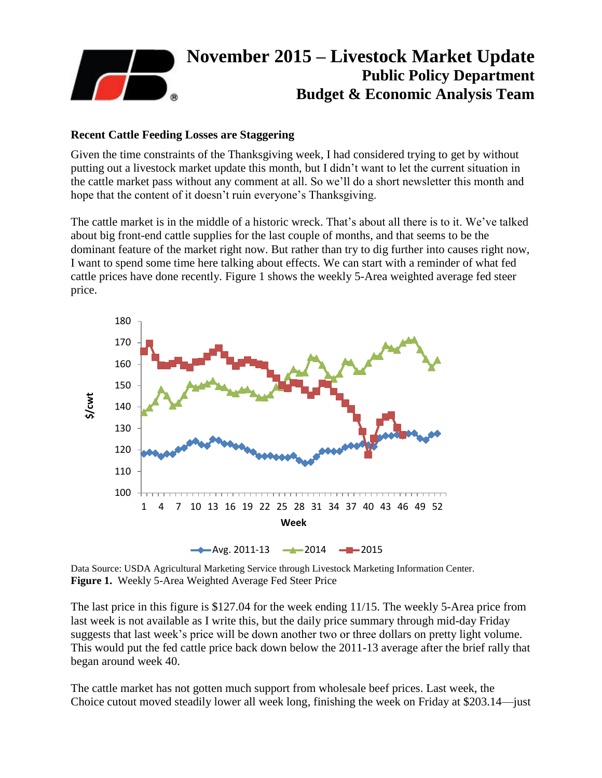

## **Recent Cattle Feeding Losses are Staggering**

Given the time constraints of the Thanksgiving week, I had considered trying to get by without putting out a livestock market update this month, but I didn't want to let the current situation in the cattle market pass without any comment at all. So we'll do a short newsletter this month and hope that the content of it doesn't ruin everyone's Thanksgiving.

The cattle market is in the middle of a historic wreck. That's about all there is to it. We've talked about big front-end cattle supplies for the last couple of months, and that seems to be the dominant feature of the market right now. But rather than try to dig further into causes right now, I want to spend some time here talking about effects. We can start with a reminder of what fed cattle prices have done recently. Figure 1 shows the weekly 5-Area weighted average fed steer price.



Data Source: USDA Agricultural Marketing Service through Livestock Marketing Information Center. **Figure 1.** Weekly 5-Area Weighted Average Fed Steer Price

The last price in this figure is \$127.04 for the week ending 11/15. The weekly 5-Area price from last week is not available as I write this, but the daily price summary through mid-day Friday suggests that last week's price will be down another two or three dollars on pretty light volume. This would put the fed cattle price back down below the 2011-13 average after the brief rally that began around week 40.

The cattle market has not gotten much support from wholesale beef prices. Last week, the Choice cutout moved steadily lower all week long, finishing the week on Friday at \$203.14—just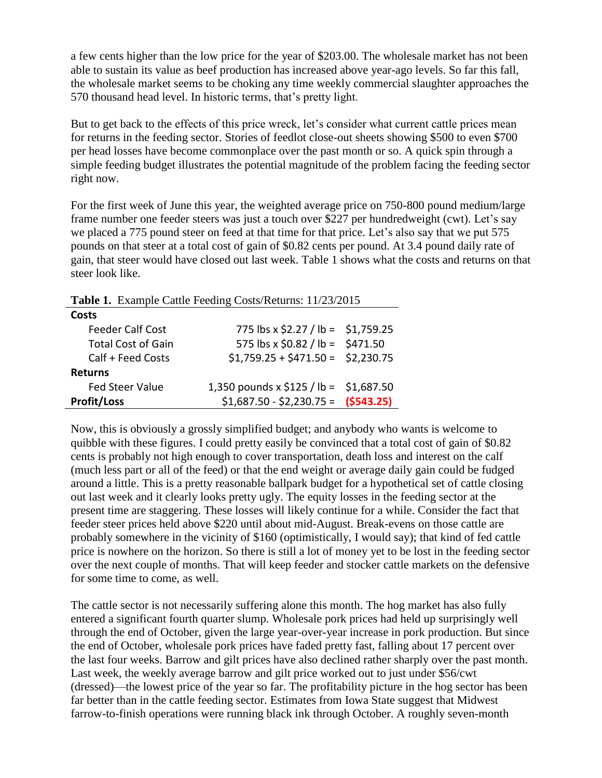a few cents higher than the low price for the year of \$203.00. The wholesale market has not been able to sustain its value as beef production has increased above year-ago levels. So far this fall, the wholesale market seems to be choking any time weekly commercial slaughter approaches the 570 thousand head level. In historic terms, that's pretty light.

But to get back to the effects of this price wreck, let's consider what current cattle prices mean for returns in the feeding sector. Stories of feedlot close-out sheets showing \$500 to even \$700 per head losses have become commonplace over the past month or so. A quick spin through a simple feeding budget illustrates the potential magnitude of the problem facing the feeding sector right now.

For the first week of June this year, the weighted average price on 750-800 pound medium/large frame number one feeder steers was just a touch over \$227 per hundredweight (cwt). Let's say we placed a 775 pound steer on feed at that time for that price. Let's also say that we put 575 pounds on that steer at a total cost of gain of \$0.82 cents per pound. At 3.4 pound daily rate of gain, that steer would have closed out last week. Table 1 shows what the costs and returns on that steer look like.

**Table 1.** Example Cattle Feeding Costs/Returns: 11/23/2015

| Costs                     |                                        |  |
|---------------------------|----------------------------------------|--|
| <b>Feeder Calf Cost</b>   | 775 lbs x \$2.27 / lb = \$1,759.25     |  |
| <b>Total Cost of Gain</b> | 575 lbs x $$0.82 / lb = $471.50$       |  |
| Calf + Feed Costs         | $$1,759.25 + $471.50 = $2,230.75$      |  |
| <b>Returns</b>            |                                        |  |
| <b>Fed Steer Value</b>    | 1,350 pounds x \$125 / lb = \$1,687.50 |  |
| <b>Profit/Loss</b>        | $$1,687.50 - $2,230.75 =$ (\$543.25)   |  |

Now, this is obviously a grossly simplified budget; and anybody who wants is welcome to quibble with these figures. I could pretty easily be convinced that a total cost of gain of \$0.82 cents is probably not high enough to cover transportation, death loss and interest on the calf (much less part or all of the feed) or that the end weight or average daily gain could be fudged around a little. This is a pretty reasonable ballpark budget for a hypothetical set of cattle closing out last week and it clearly looks pretty ugly. The equity losses in the feeding sector at the present time are staggering. These losses will likely continue for a while. Consider the fact that feeder steer prices held above \$220 until about mid-August. Break-evens on those cattle are probably somewhere in the vicinity of \$160 (optimistically, I would say); that kind of fed cattle price is nowhere on the horizon. So there is still a lot of money yet to be lost in the feeding sector over the next couple of months. That will keep feeder and stocker cattle markets on the defensive for some time to come, as well.

The cattle sector is not necessarily suffering alone this month. The hog market has also fully entered a significant fourth quarter slump. Wholesale pork prices had held up surprisingly well through the end of October, given the large year-over-year increase in pork production. But since the end of October, wholesale pork prices have faded pretty fast, falling about 17 percent over the last four weeks. Barrow and gilt prices have also declined rather sharply over the past month. Last week, the weekly average barrow and gilt price worked out to just under \$56/cwt (dressed)—the lowest price of the year so far. The profitability picture in the hog sector has been far better than in the cattle feeding sector. Estimates from Iowa State suggest that Midwest farrow-to-finish operations were running black ink through October. A roughly seven-month